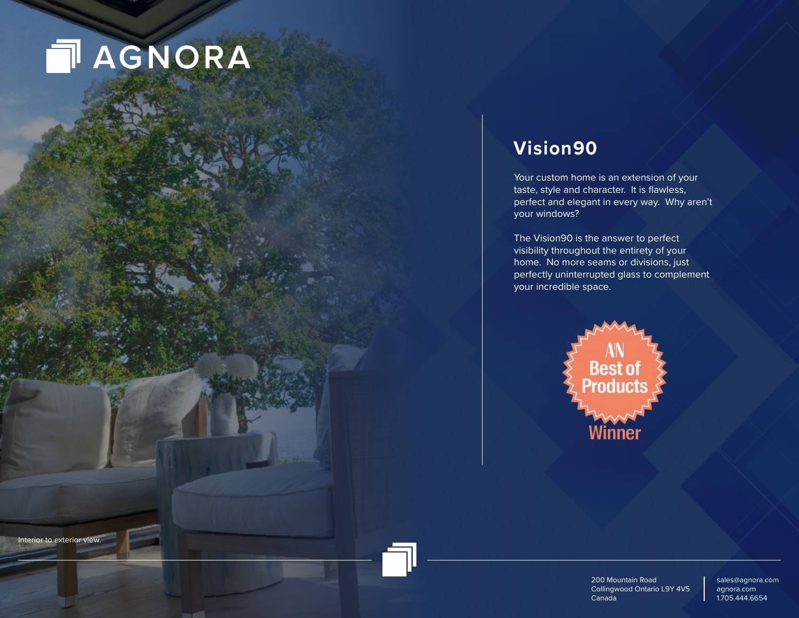# **NAGNORA**

Interior to exterior view.

## **Vision90**

Your custom home is an extension of your taste, style and character. It is flawless, perfect and elegant in every way. Why aren't your windows?

The Vision90 is the answer to perfect visibility throughout the entirety of your home. No more seams or divisions, just perfectly uninterrupted glass to complement your incredible space.



200 Mountain Road Collingwood Ontario L9Y 4V5 Canada

sales@agnora.com agnora.com 1.705.444.6654